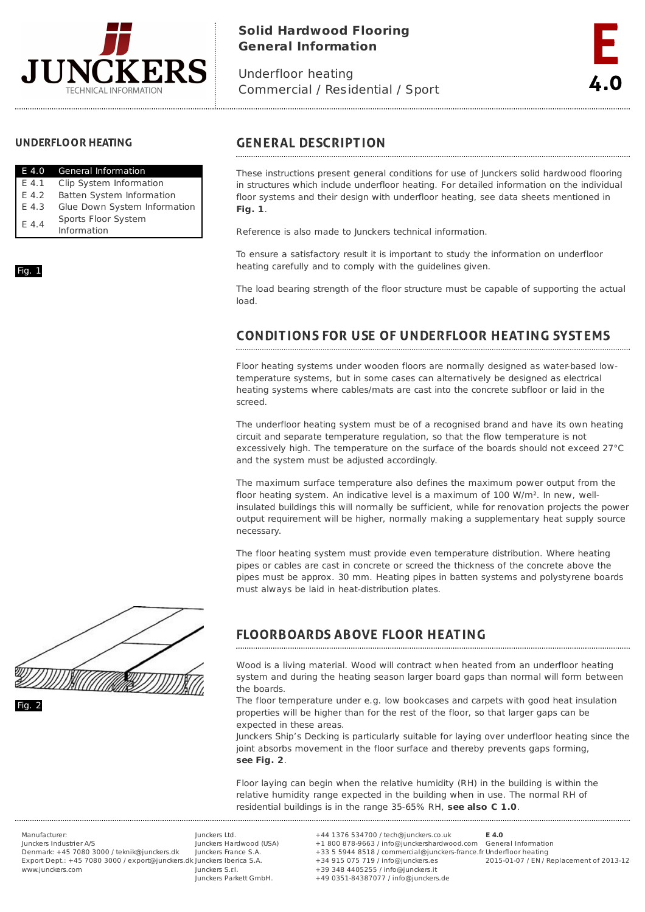

# **Solid Hardwood Flooring General Information**

Underfloor heating Commercial / Residential / Sport



# **UNDERFLOOR HEATING**

| E 4.0   | <b>General Information</b>   |
|---------|------------------------------|
| F 4.1   | Clip System Information      |
| F 4.2   | Batten System Information    |
| F 4.3   | Glue Down System Information |
| $F$ 4.4 | Sports Floor System          |
|         | Information                  |

### Fig. 1

# **GENERAL DESCRIPTION**

These instructions present general conditions for use of Junckers solid hardwood flooring in structures which include underfloor heating. For detailed information on the individual floor systems and their design with underfloor heating, see data sheets mentioned in **Fig. 1**.

Reference is also made to Junckers technical information.

To ensure a satisfactory result it is important to study the information on underfloor heating carefully and to comply with the guidelines given.

The load bearing strength of the floor structure must be capable of supporting the actual load.

### **CONDITIONS FOR USE OF UNDERFLOOR HEATING SYSTEMS**

Floor heating systems under wooden floors are normally designed as water-based lowtemperature systems, but in some cases can alternatively be designed as electrical heating systems where cables/mats are cast into the concrete subfloor or laid in the screed.

The underfloor heating system must be of a recognised brand and have its own heating circuit and separate temperature regulation, so that the flow temperature is not excessively high. The temperature on the surface of the boards should not exceed 27°C and the system must be adjusted accordingly.

The maximum surface temperature also defines the maximum power output from the floor heating system. An indicative level is a maximum of 100 W/m². In new, wellinsulated buildings this will normally be sufficient, while for renovation projects the power output requirement will be higher, normally making a supplementary heat supply source necessary.

The floor heating system must provide even temperature distribution. Where heating pipes or cables are cast in concrete or screed the thickness of the concrete above the pipes must be approx. 30 mm. Heating pipes in batten systems and polystyrene boards must always be laid in heat-distribution plates.



### **FLOORBOARDS ABOVE FLOOR HEATING**

Wood is a living material. Wood will contract when heated from an underfloor heating system and during the heating season larger board gaps than normal will form between the boards.

The floor temperature under e.g. low bookcases and carpets with good heat insulation properties will be higher than for the rest of the floor, so that larger gaps can be expected in these areas.

Junckers Ship's Decking is particularly suitable for laying over underfloor heating since the joint absorbs movement in the floor surface and thereby prevents gaps forming, **see Fig. 2**.

Floor laying can begin when the relative humidity (RH) in the building is within the relative humidity range expected in the building when in use. The normal RH of residential buildings is in the range 35-65% RH, **see also C 1.0**.

Manufacturer: Junckers Industrier A/S Denmark: +45 7080 3000 / teknik@junckers.dk Export Dept.: +45 7080 3000 / export@junckers.dk Junckers Iberica S.A. www.junckers.com

Junckers Ltd. Junckers Hardwood (USA) Junckers France S.A. Junckers S.r.I. Junckers Parkett GmbH.

+44 1376 534700 / tech@junckers.co.uk +1 800 878-9663 / info@junckershardwood.com General Information +33 5 5944 8518 / commercial@junckers-france.fr Underfloor heating +34 915 075 719 / info@junckers.es +39 348 4405255 / info@junckers.it +49 0351-84387077 / info@junckers.de **E 4.0**

2015-01-07 / EN / Replacement of 2013-12